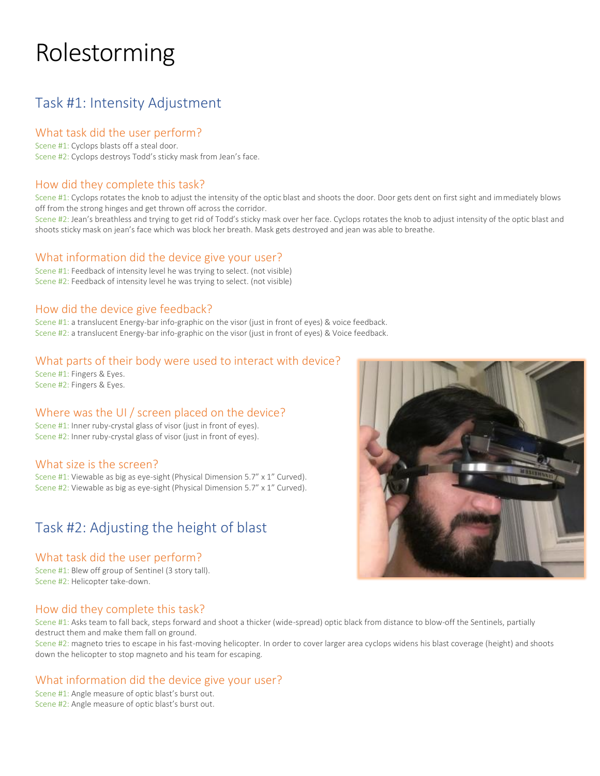# Rolestorming

# Task #1: Intensity Adjustment

# What task did the user perform?

Scene #1: Cyclops blasts off a steal door. Scene #2: Cyclops destroys Todd's sticky mask from Jean's face.

# How did they complete this task?

Scene #1: Cyclops rotates the knob to adjust the intensity of the optic blast and shoots the door. Door gets dent on first sight and immediately blows off from the strong hinges and get thrown off across the corridor.

Scene #2: Jean's breathless and trying to get rid of Todd's sticky mask over her face. Cyclops rotates the knob to adjust intensity of the optic blast and shoots sticky mask on jean's face which was block her breath. Mask gets destroyed and jean was able to breathe.

#### What information did the device give your user?

Scene #1: Feedback of intensity level he was trying to select. (not visible) Scene #2: Feedback of intensity level he was trying to select. (not visible)

# How did the device give feedback?

Scene #1: a translucent Energy-bar info-graphic on the visor (just in front of eyes) & voice feedback. Scene #2: a translucent Energy-bar info-graphic on the visor (just in front of eyes) & Voice feedback.

# What parts of their body were used to interact with device?

Scene #1: Fingers & Eyes. Scene #2: Fingers & Eyes.

# Where was the UI / screen placed on the device?

Scene #1: Inner ruby-crystal glass of visor (just in front of eyes). Scene #2: Inner ruby-crystal glass of visor (just in front of eyes).

# What size is the screen?

Scene #1: Viewable as big as eye-sight (Physical Dimension 5.7" x 1" Curved). Scene #2: Viewable as big as eye-sight (Physical Dimension 5.7" x 1" Curved).

# Task #2: Adjusting the height of blast

# What task did the user perform?

Scene #1: Blew off group of Sentinel (3 story tall). Scene #2: Helicopter take-down.

# How did they complete this task?

Scene #1: Asks team to fall back, steps forward and shoot a thicker (wide-spread) optic black from distance to blow-off the Sentinels, partially destruct them and make them fall on ground.

Scene #2: magneto tries to escape in his fast-moving helicopter. In order to cover larger area cyclops widens his blast coverage (height) and shoots down the helicopter to stop magneto and his team for escaping.

# What information did the device give your user?

Scene #1: Angle measure of optic blast's burst out. Scene #2: Angle measure of optic blast's burst out.